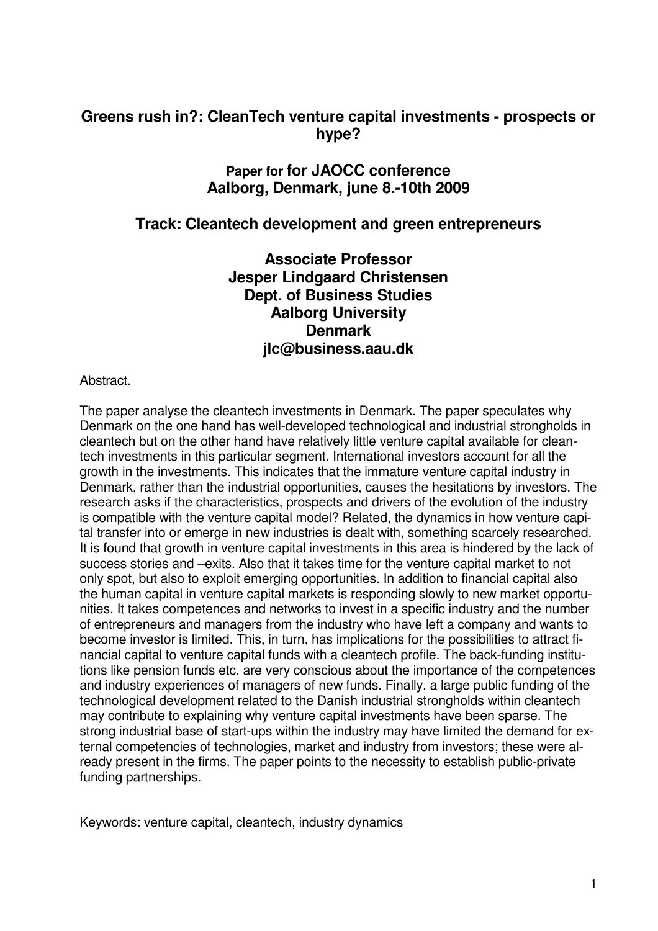#### **Greens rush in?: CleanTech venture capital investments - prospects or hype?**

#### **Paper for for JAOCC conference Aalborg, Denmark, june 8.-10th 2009**

#### **Track: Cleantech development and green entrepreneurs**

**Associate Professor Jesper Lindgaard Christensen Dept. of Business Studies Aalborg University Denmark jlc@business.aau.dk** 

#### Abstract.

The paper analyse the cleantech investments in Denmark. The paper speculates why Denmark on the one hand has well-developed technological and industrial strongholds in cleantech but on the other hand have relatively little venture capital available for cleantech investments in this particular segment. International investors account for all the growth in the investments. This indicates that the immature venture capital industry in Denmark, rather than the industrial opportunities, causes the hesitations by investors. The research asks if the characteristics, prospects and drivers of the evolution of the industry is compatible with the venture capital model? Related, the dynamics in how venture capital transfer into or emerge in new industries is dealt with, something scarcely researched. It is found that growth in venture capital investments in this area is hindered by the lack of success stories and –exits. Also that it takes time for the venture capital market to not only spot, but also to exploit emerging opportunities. In addition to financial capital also the human capital in venture capital markets is responding slowly to new market opportunities. It takes competences and networks to invest in a specific industry and the number of entrepreneurs and managers from the industry who have left a company and wants to become investor is limited. This, in turn, has implications for the possibilities to attract financial capital to venture capital funds with a cleantech profile. The back-funding institutions like pension funds etc. are very conscious about the importance of the competences and industry experiences of managers of new funds. Finally, a large public funding of the technological development related to the Danish industrial strongholds within cleantech may contribute to explaining why venture capital investments have been sparse. The strong industrial base of start-ups within the industry may have limited the demand for external competencies of technologies, market and industry from investors; these were already present in the firms. The paper points to the necessity to establish public-private funding partnerships.

Keywords: venture capital, cleantech, industry dynamics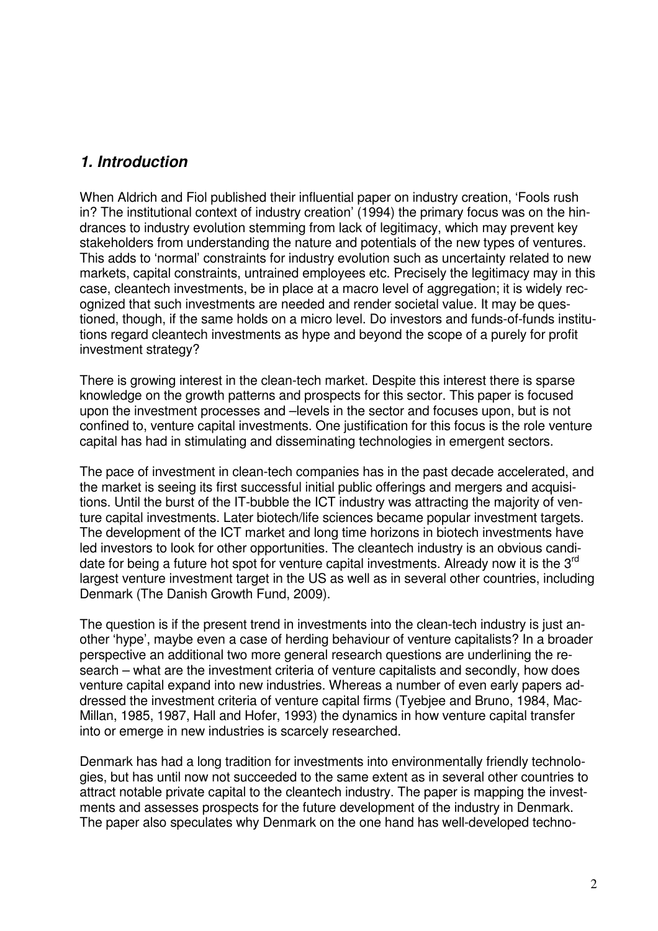### *1. Introduction*

When Aldrich and Fiol published their influential paper on industry creation, 'Fools rush in? The institutional context of industry creation' (1994) the primary focus was on the hindrances to industry evolution stemming from lack of legitimacy, which may prevent key stakeholders from understanding the nature and potentials of the new types of ventures. This adds to 'normal' constraints for industry evolution such as uncertainty related to new markets, capital constraints, untrained employees etc. Precisely the legitimacy may in this case, cleantech investments, be in place at a macro level of aggregation; it is widely recognized that such investments are needed and render societal value. It may be questioned, though, if the same holds on a micro level. Do investors and funds-of-funds institutions regard cleantech investments as hype and beyond the scope of a purely for profit investment strategy?

There is growing interest in the clean-tech market. Despite this interest there is sparse knowledge on the growth patterns and prospects for this sector. This paper is focused upon the investment processes and –levels in the sector and focuses upon, but is not confined to, venture capital investments. One justification for this focus is the role venture capital has had in stimulating and disseminating technologies in emergent sectors.

The pace of investment in clean-tech companies has in the past decade accelerated, and the market is seeing its first successful initial public offerings and mergers and acquisitions. Until the burst of the IT-bubble the ICT industry was attracting the majority of venture capital investments. Later biotech/life sciences became popular investment targets. The development of the ICT market and long time horizons in biotech investments have led investors to look for other opportunities. The cleantech industry is an obvious candidate for being a future hot spot for venture capital investments. Already now it is the  $3<sup>rd</sup>$ largest venture investment target in the US as well as in several other countries, including Denmark (The Danish Growth Fund, 2009).

The question is if the present trend in investments into the clean-tech industry is just another 'hype', maybe even a case of herding behaviour of venture capitalists? In a broader perspective an additional two more general research questions are underlining the research – what are the investment criteria of venture capitalists and secondly, how does venture capital expand into new industries. Whereas a number of even early papers addressed the investment criteria of venture capital firms (Tyebjee and Bruno, 1984, Mac-Millan, 1985, 1987, Hall and Hofer, 1993) the dynamics in how venture capital transfer into or emerge in new industries is scarcely researched.

Denmark has had a long tradition for investments into environmentally friendly technologies, but has until now not succeeded to the same extent as in several other countries to attract notable private capital to the cleantech industry. The paper is mapping the investments and assesses prospects for the future development of the industry in Denmark. The paper also speculates why Denmark on the one hand has well-developed techno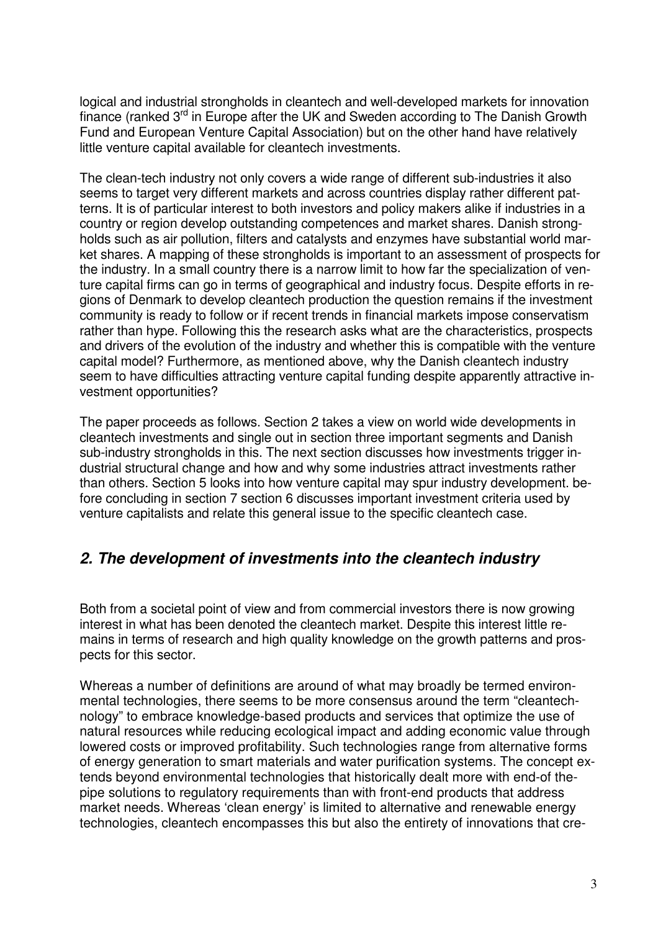logical and industrial strongholds in cleantech and well-developed markets for innovation finance (ranked 3<sup>rd</sup> in Europe after the UK and Sweden according to The Danish Growth Fund and European Venture Capital Association) but on the other hand have relatively little venture capital available for cleantech investments.

The clean-tech industry not only covers a wide range of different sub-industries it also seems to target very different markets and across countries display rather different patterns. It is of particular interest to both investors and policy makers alike if industries in a country or region develop outstanding competences and market shares. Danish strongholds such as air pollution, filters and catalysts and enzymes have substantial world market shares. A mapping of these strongholds is important to an assessment of prospects for the industry. In a small country there is a narrow limit to how far the specialization of venture capital firms can go in terms of geographical and industry focus. Despite efforts in regions of Denmark to develop cleantech production the question remains if the investment community is ready to follow or if recent trends in financial markets impose conservatism rather than hype. Following this the research asks what are the characteristics, prospects and drivers of the evolution of the industry and whether this is compatible with the venture capital model? Furthermore, as mentioned above, why the Danish cleantech industry seem to have difficulties attracting venture capital funding despite apparently attractive investment opportunities?

The paper proceeds as follows. Section 2 takes a view on world wide developments in cleantech investments and single out in section three important segments and Danish sub-industry strongholds in this. The next section discusses how investments trigger industrial structural change and how and why some industries attract investments rather than others. Section 5 looks into how venture capital may spur industry development. before concluding in section 7 section 6 discusses important investment criteria used by venture capitalists and relate this general issue to the specific cleantech case.

### *2. The development of investments into the cleantech industry*

Both from a societal point of view and from commercial investors there is now growing interest in what has been denoted the cleantech market. Despite this interest little remains in terms of research and high quality knowledge on the growth patterns and prospects for this sector.

Whereas a number of definitions are around of what may broadly be termed environmental technologies, there seems to be more consensus around the term "cleantechnology" to embrace knowledge-based products and services that optimize the use of natural resources while reducing ecological impact and adding economic value through lowered costs or improved profitability. Such technologies range from alternative forms of energy generation to smart materials and water purification systems. The concept extends beyond environmental technologies that historically dealt more with end-of thepipe solutions to regulatory requirements than with front-end products that address market needs. Whereas 'clean energy' is limited to alternative and renewable energy technologies, cleantech encompasses this but also the entirety of innovations that cre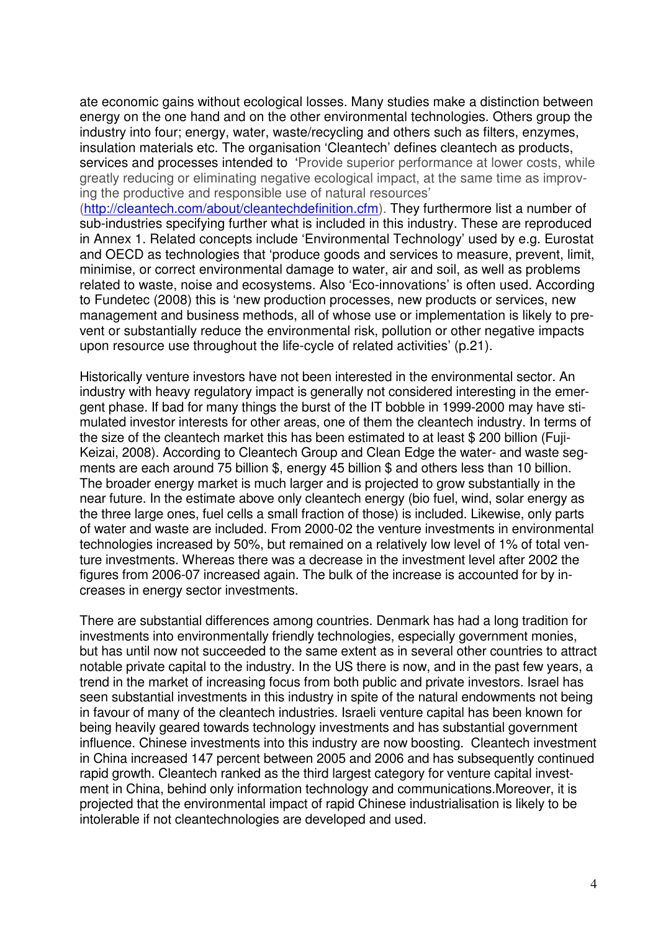ate economic gains without ecological losses. Many studies make a distinction between energy on the one hand and on the other environmental technologies. Others group the industry into four; energy, water, waste/recycling and others such as filters, enzymes, insulation materials etc. The organisation 'Cleantech' defines cleantech as products, services and processes intended to 'Provide superior performance at lower costs, while greatly reducing or eliminating negative ecological impact, at the same time as improving the productive and responsible use of natural resources'

(http://cleantech.com/about/cleantechdefinition.cfm). They furthermore list a number of sub-industries specifying further what is included in this industry. These are reproduced in Annex 1. Related concepts include 'Environmental Technology' used by e.g. Eurostat and OECD as technologies that 'produce goods and services to measure, prevent, limit, minimise, or correct environmental damage to water, air and soil, as well as problems related to waste, noise and ecosystems. Also 'Eco-innovations' is often used. According to Fundetec (2008) this is 'new production processes, new products or services, new management and business methods, all of whose use or implementation is likely to prevent or substantially reduce the environmental risk, pollution or other negative impacts upon resource use throughout the life-cycle of related activities' (p.21).

Historically venture investors have not been interested in the environmental sector. An industry with heavy regulatory impact is generally not considered interesting in the emergent phase. If bad for many things the burst of the IT bobble in 1999-2000 may have stimulated investor interests for other areas, one of them the cleantech industry. In terms of the size of the cleantech market this has been estimated to at least \$ 200 billion (Fuji-Keizai, 2008). According to Cleantech Group and Clean Edge the water- and waste segments are each around 75 billion \$, energy 45 billion \$ and others less than 10 billion. The broader energy market is much larger and is projected to grow substantially in the near future. In the estimate above only cleantech energy (bio fuel, wind, solar energy as the three large ones, fuel cells a small fraction of those) is included. Likewise, only parts of water and waste are included. From 2000-02 the venture investments in environmental technologies increased by 50%, but remained on a relatively low level of 1% of total venture investments. Whereas there was a decrease in the investment level after 2002 the figures from 2006-07 increased again. The bulk of the increase is accounted for by increases in energy sector investments.

There are substantial differences among countries. Denmark has had a long tradition for investments into environmentally friendly technologies, especially government monies, but has until now not succeeded to the same extent as in several other countries to attract notable private capital to the industry. In the US there is now, and in the past few years, a trend in the market of increasing focus from both public and private investors. Israel has seen substantial investments in this industry in spite of the natural endowments not being in favour of many of the cleantech industries. Israeli venture capital has been known for being heavily geared towards technology investments and has substantial government influence. Chinese investments into this industry are now boosting. Cleantech investment in China increased 147 percent between 2005 and 2006 and has subsequently continued rapid growth. Cleantech ranked as the third largest category for venture capital investment in China, behind only information technology and communications.Moreover, it is projected that the environmental impact of rapid Chinese industrialisation is likely to be intolerable if not cleantechnologies are developed and used.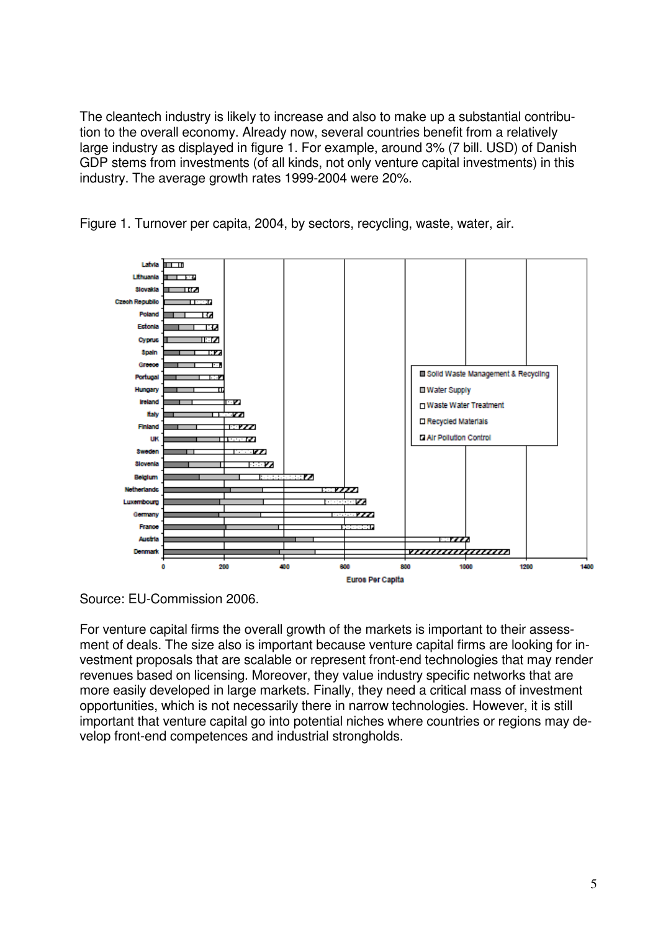The cleantech industry is likely to increase and also to make up a substantial contribution to the overall economy. Already now, several countries benefit from a relatively large industry as displayed in figure 1. For example, around 3% (7 bill. USD) of Danish GDP stems from investments (of all kinds, not only venture capital investments) in this industry. The average growth rates 1999-2004 were 20%.

Figure 1. Turnover per capita, 2004, by sectors, recycling, waste, water, air.



Source: EU-Commission 2006.

For venture capital firms the overall growth of the markets is important to their assessment of deals. The size also is important because venture capital firms are looking for investment proposals that are scalable or represent front-end technologies that may render revenues based on licensing. Moreover, they value industry specific networks that are more easily developed in large markets. Finally, they need a critical mass of investment opportunities, which is not necessarily there in narrow technologies. However, it is still important that venture capital go into potential niches where countries or regions may develop front-end competences and industrial strongholds.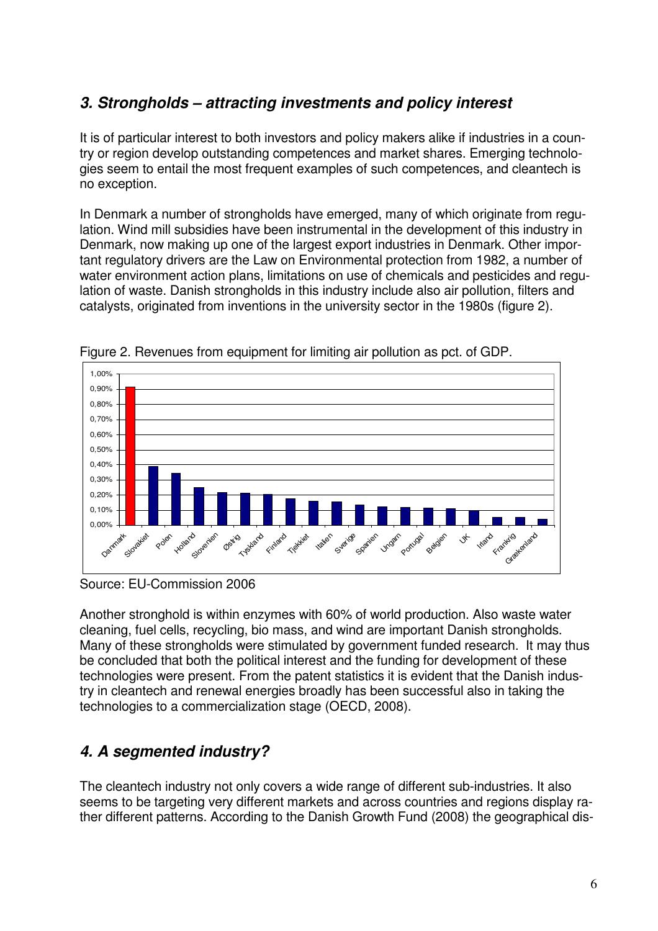# *3. Strongholds – attracting investments and policy interest*

It is of particular interest to both investors and policy makers alike if industries in a country or region develop outstanding competences and market shares. Emerging technologies seem to entail the most frequent examples of such competences, and cleantech is no exception.

In Denmark a number of strongholds have emerged, many of which originate from regulation. Wind mill subsidies have been instrumental in the development of this industry in Denmark, now making up one of the largest export industries in Denmark. Other important regulatory drivers are the Law on Environmental protection from 1982, a number of water environment action plans, limitations on use of chemicals and pesticides and regulation of waste. Danish strongholds in this industry include also air pollution, filters and catalysts, originated from inventions in the university sector in the 1980s (figure 2).



Figure 2. Revenues from equipment for limiting air pollution as pct. of GDP.

Source: EU-Commission 2006

Another stronghold is within enzymes with 60% of world production. Also waste water cleaning, fuel cells, recycling, bio mass, and wind are important Danish strongholds. Many of these strongholds were stimulated by government funded research. It may thus be concluded that both the political interest and the funding for development of these technologies were present. From the patent statistics it is evident that the Danish industry in cleantech and renewal energies broadly has been successful also in taking the technologies to a commercialization stage (OECD, 2008).

# *4. A segmented industry?*

The cleantech industry not only covers a wide range of different sub-industries. It also seems to be targeting very different markets and across countries and regions display rather different patterns. According to the Danish Growth Fund (2008) the geographical dis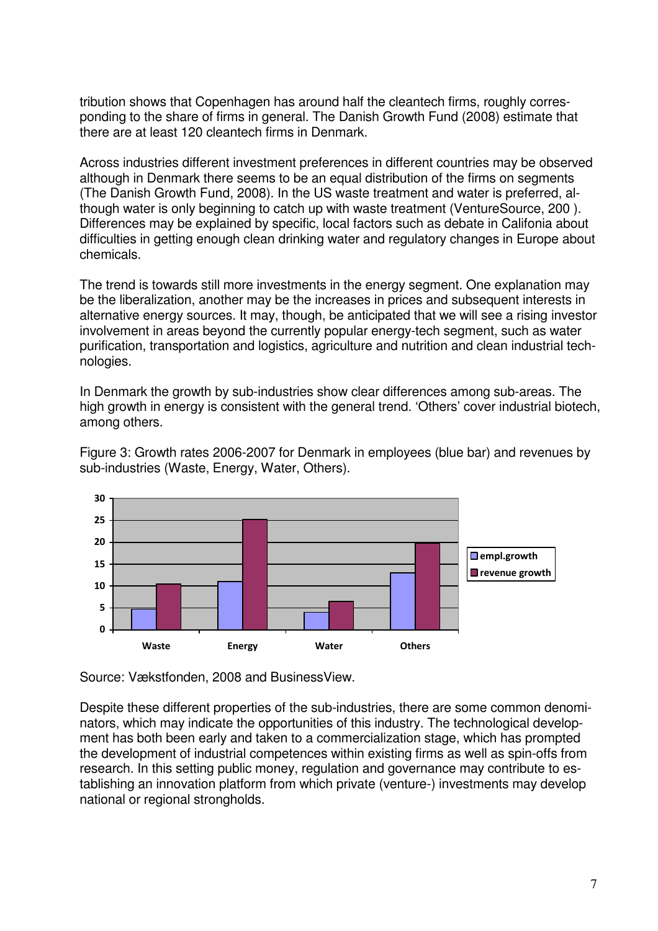tribution shows that Copenhagen has around half the cleantech firms, roughly corresponding to the share of firms in general. The Danish Growth Fund (2008) estimate that there are at least 120 cleantech firms in Denmark.

Across industries different investment preferences in different countries may be observed although in Denmark there seems to be an equal distribution of the firms on segments (The Danish Growth Fund, 2008). In the US waste treatment and water is preferred, although water is only beginning to catch up with waste treatment (VentureSource, 200 ). Differences may be explained by specific, local factors such as debate in Califonia about difficulties in getting enough clean drinking water and regulatory changes in Europe about chemicals.

The trend is towards still more investments in the energy segment. One explanation may be the liberalization, another may be the increases in prices and subsequent interests in alternative energy sources. It may, though, be anticipated that we will see a rising investor involvement in areas beyond the currently popular energy-tech segment, such as water purification, transportation and logistics, agriculture and nutrition and clean industrial technologies.

In Denmark the growth by sub-industries show clear differences among sub-areas. The high growth in energy is consistent with the general trend. 'Others' cover industrial biotech, among others.

Figure 3: Growth rates 2006-2007 for Denmark in employees (blue bar) and revenues by sub-industries (Waste, Energy, Water, Others).



Source: Vækstfonden, 2008 and BusinessView.

Despite these different properties of the sub-industries, there are some common denominators, which may indicate the opportunities of this industry. The technological development has both been early and taken to a commercialization stage, which has prompted the development of industrial competences within existing firms as well as spin-offs from research. In this setting public money, regulation and governance may contribute to establishing an innovation platform from which private (venture-) investments may develop national or regional strongholds.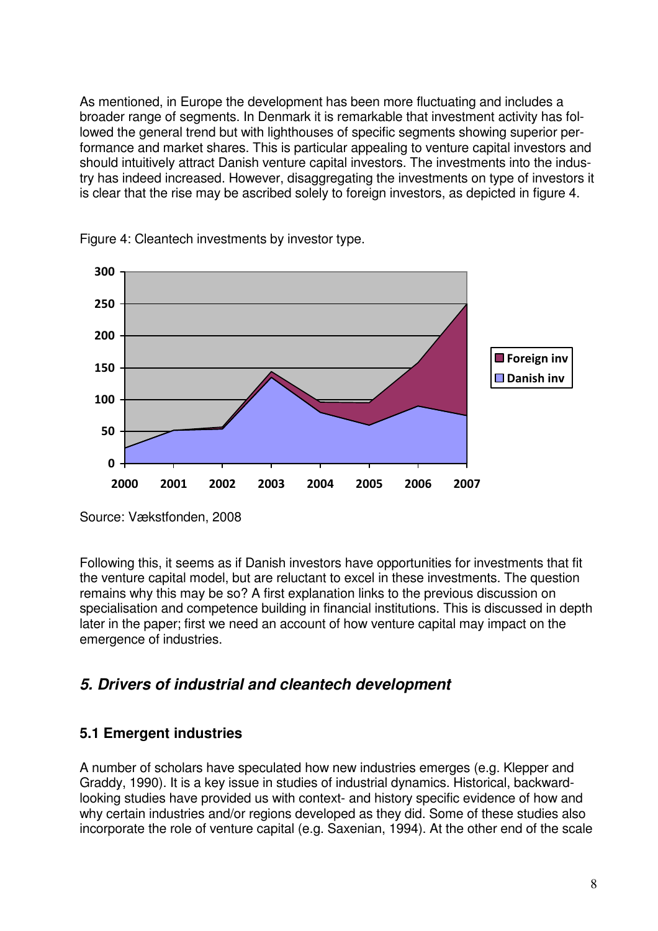As mentioned, in Europe the development has been more fluctuating and includes a broader range of segments. In Denmark it is remarkable that investment activity has followed the general trend but with lighthouses of specific segments showing superior performance and market shares. This is particular appealing to venture capital investors and should intuitively attract Danish venture capital investors. The investments into the industry has indeed increased. However, disaggregating the investments on type of investors it is clear that the rise may be ascribed solely to foreign investors, as depicted in figure 4.



Figure 4: Cleantech investments by investor type.

Source: Vækstfonden, 2008

Following this, it seems as if Danish investors have opportunities for investments that fit the venture capital model, but are reluctant to excel in these investments. The question remains why this may be so? A first explanation links to the previous discussion on specialisation and competence building in financial institutions. This is discussed in depth later in the paper; first we need an account of how venture capital may impact on the emergence of industries.

# *5. Drivers of industrial and cleantech development*

### **5.1 Emergent industries**

A number of scholars have speculated how new industries emerges (e.g. Klepper and Graddy, 1990). It is a key issue in studies of industrial dynamics. Historical, backwardlooking studies have provided us with context- and history specific evidence of how and why certain industries and/or regions developed as they did. Some of these studies also incorporate the role of venture capital (e.g. Saxenian, 1994). At the other end of the scale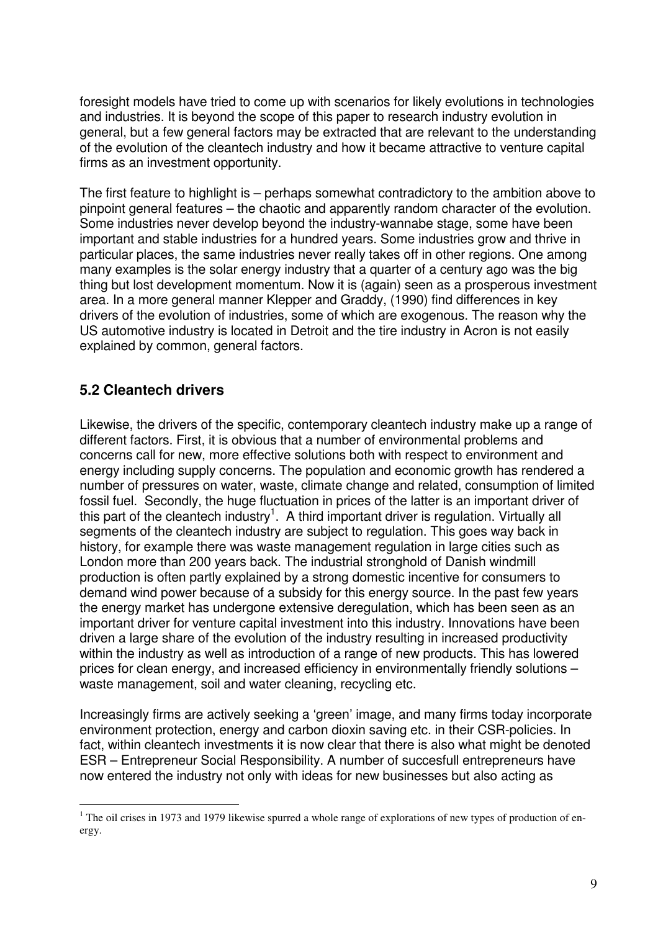foresight models have tried to come up with scenarios for likely evolutions in technologies and industries. It is beyond the scope of this paper to research industry evolution in general, but a few general factors may be extracted that are relevant to the understanding of the evolution of the cleantech industry and how it became attractive to venture capital firms as an investment opportunity.

The first feature to highlight is – perhaps somewhat contradictory to the ambition above to pinpoint general features – the chaotic and apparently random character of the evolution. Some industries never develop beyond the industry-wannabe stage, some have been important and stable industries for a hundred years. Some industries grow and thrive in particular places, the same industries never really takes off in other regions. One among many examples is the solar energy industry that a quarter of a century ago was the big thing but lost development momentum. Now it is (again) seen as a prosperous investment area. In a more general manner Klepper and Graddy, (1990) find differences in key drivers of the evolution of industries, some of which are exogenous. The reason why the US automotive industry is located in Detroit and the tire industry in Acron is not easily explained by common, general factors.

#### **5.2 Cleantech drivers**

 $\overline{a}$ 

Likewise, the drivers of the specific, contemporary cleantech industry make up a range of different factors. First, it is obvious that a number of environmental problems and concerns call for new, more effective solutions both with respect to environment and energy including supply concerns. The population and economic growth has rendered a number of pressures on water, waste, climate change and related, consumption of limited fossil fuel. Secondly, the huge fluctuation in prices of the latter is an important driver of this part of the cleantech industry<sup>1</sup>. A third important driver is regulation. Virtually all segments of the cleantech industry are subject to regulation. This goes way back in history, for example there was waste management regulation in large cities such as London more than 200 years back. The industrial stronghold of Danish windmill production is often partly explained by a strong domestic incentive for consumers to demand wind power because of a subsidy for this energy source. In the past few years the energy market has undergone extensive deregulation, which has been seen as an important driver for venture capital investment into this industry. Innovations have been driven a large share of the evolution of the industry resulting in increased productivity within the industry as well as introduction of a range of new products. This has lowered prices for clean energy, and increased efficiency in environmentally friendly solutions – waste management, soil and water cleaning, recycling etc.

Increasingly firms are actively seeking a 'green' image, and many firms today incorporate environment protection, energy and carbon dioxin saving etc. in their CSR-policies. In fact, within cleantech investments it is now clear that there is also what might be denoted ESR – Entrepreneur Social Responsibility. A number of succesfull entrepreneurs have now entered the industry not only with ideas for new businesses but also acting as

 $1$  The oil crises in 1973 and 1979 likewise spurred a whole range of explorations of new types of production of energy.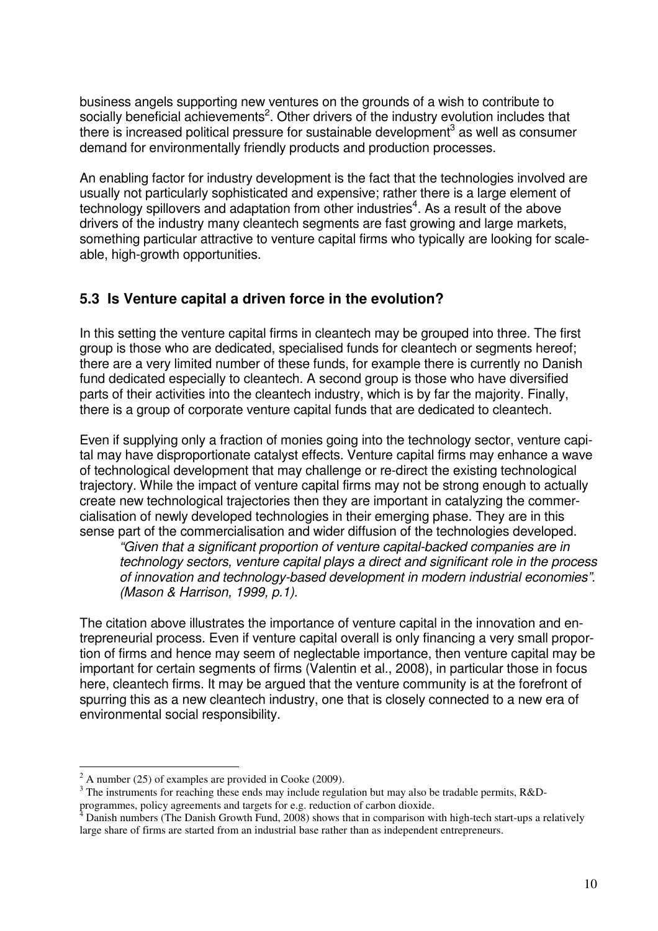business angels supporting new ventures on the grounds of a wish to contribute to socially beneficial achievements<sup>2</sup>. Other drivers of the industry evolution includes that there is increased political pressure for sustainable development<sup>3</sup> as well as consumer demand for environmentally friendly products and production processes.

An enabling factor for industry development is the fact that the technologies involved are usually not particularly sophisticated and expensive; rather there is a large element of technology spillovers and adaptation from other industries<sup>4</sup>. As a result of the above drivers of the industry many cleantech segments are fast growing and large markets, something particular attractive to venture capital firms who typically are looking for scaleable, high-growth opportunities.

#### **5.3 Is Venture capital a driven force in the evolution?**

In this setting the venture capital firms in cleantech may be grouped into three. The first group is those who are dedicated, specialised funds for cleantech or segments hereof; there are a very limited number of these funds, for example there is currently no Danish fund dedicated especially to cleantech. A second group is those who have diversified parts of their activities into the cleantech industry, which is by far the majority. Finally, there is a group of corporate venture capital funds that are dedicated to cleantech.

Even if supplying only a fraction of monies going into the technology sector, venture capital may have disproportionate catalyst effects. Venture capital firms may enhance a wave of technological development that may challenge or re-direct the existing technological trajectory. While the impact of venture capital firms may not be strong enough to actually create new technological trajectories then they are important in catalyzing the commercialisation of newly developed technologies in their emerging phase. They are in this sense part of the commercialisation and wider diffusion of the technologies developed.

*"Given that a significant proportion of venture capital-backed companies are in technology sectors, venture capital plays a direct and significant role in the process of innovation and technology-based development in modern industrial economies". (Mason & Harrison, 1999, p.1).* 

The citation above illustrates the importance of venture capital in the innovation and entrepreneurial process. Even if venture capital overall is only financing a very small proportion of firms and hence may seem of neglectable importance, then venture capital may be important for certain segments of firms (Valentin et al., 2008), in particular those in focus here, cleantech firms. It may be argued that the venture community is at the forefront of spurring this as a new cleantech industry, one that is closely connected to a new era of environmental social responsibility.

<sup>&</sup>lt;sup>2</sup> A number (25) of examples are provided in Cooke (2009).

 $3$  The instruments for reaching these ends may include regulation but may also be tradable permits, R&Dprogrammes, policy agreements and targets for e.g. reduction of carbon dioxide.<br><sup>4</sup> Danish numbers (The Danish Grouth Eund. 2008) shows that in comparison wi

Danish numbers (The Danish Growth Fund, 2008) shows that in comparison with high-tech start-ups a relatively large share of firms are started from an industrial base rather than as independent entrepreneurs.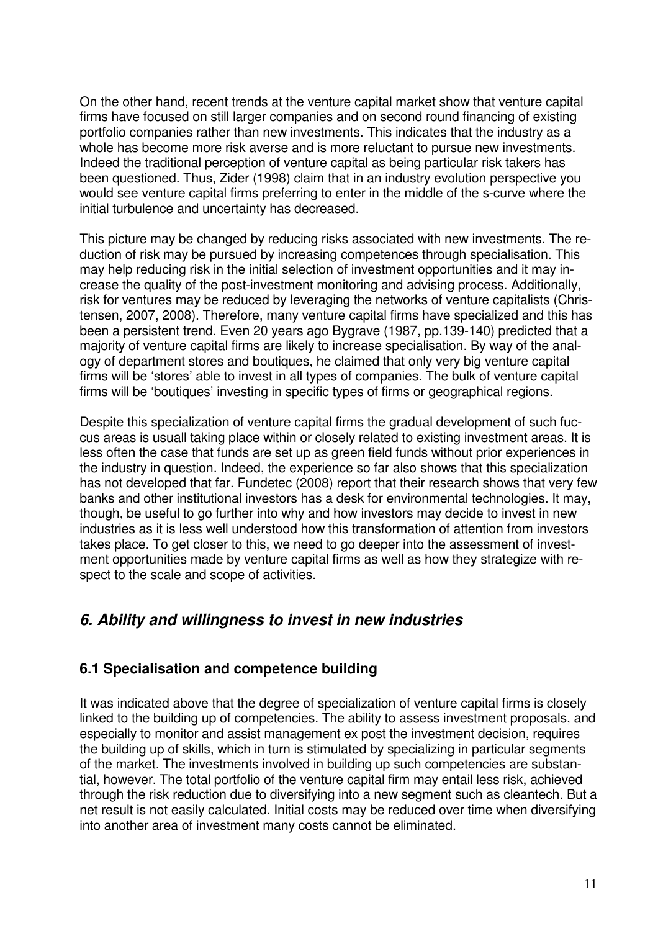On the other hand, recent trends at the venture capital market show that venture capital firms have focused on still larger companies and on second round financing of existing portfolio companies rather than new investments. This indicates that the industry as a whole has become more risk averse and is more reluctant to pursue new investments. Indeed the traditional perception of venture capital as being particular risk takers has been questioned. Thus, Zider (1998) claim that in an industry evolution perspective you would see venture capital firms preferring to enter in the middle of the s-curve where the initial turbulence and uncertainty has decreased.

This picture may be changed by reducing risks associated with new investments. The reduction of risk may be pursued by increasing competences through specialisation. This may help reducing risk in the initial selection of investment opportunities and it may increase the quality of the post-investment monitoring and advising process. Additionally, risk for ventures may be reduced by leveraging the networks of venture capitalists (Christensen, 2007, 2008). Therefore, many venture capital firms have specialized and this has been a persistent trend. Even 20 years ago Bygrave (1987, pp.139-140) predicted that a majority of venture capital firms are likely to increase specialisation. By way of the analogy of department stores and boutiques, he claimed that only very big venture capital firms will be 'stores' able to invest in all types of companies. The bulk of venture capital firms will be 'boutiques' investing in specific types of firms or geographical regions.

Despite this specialization of venture capital firms the gradual development of such fuccus areas is usuall taking place within or closely related to existing investment areas. It is less often the case that funds are set up as green field funds without prior experiences in the industry in question. Indeed, the experience so far also shows that this specialization has not developed that far. Fundetec (2008) report that their research shows that very few banks and other institutional investors has a desk for environmental technologies. It may, though, be useful to go further into why and how investors may decide to invest in new industries as it is less well understood how this transformation of attention from investors takes place. To get closer to this, we need to go deeper into the assessment of investment opportunities made by venture capital firms as well as how they strategize with respect to the scale and scope of activities.

## *6. Ability and willingness to invest in new industries*

#### **6.1 Specialisation and competence building**

It was indicated above that the degree of specialization of venture capital firms is closely linked to the building up of competencies. The ability to assess investment proposals, and especially to monitor and assist management ex post the investment decision, requires the building up of skills, which in turn is stimulated by specializing in particular segments of the market. The investments involved in building up such competencies are substantial, however. The total portfolio of the venture capital firm may entail less risk, achieved through the risk reduction due to diversifying into a new segment such as cleantech. But a net result is not easily calculated. Initial costs may be reduced over time when diversifying into another area of investment many costs cannot be eliminated.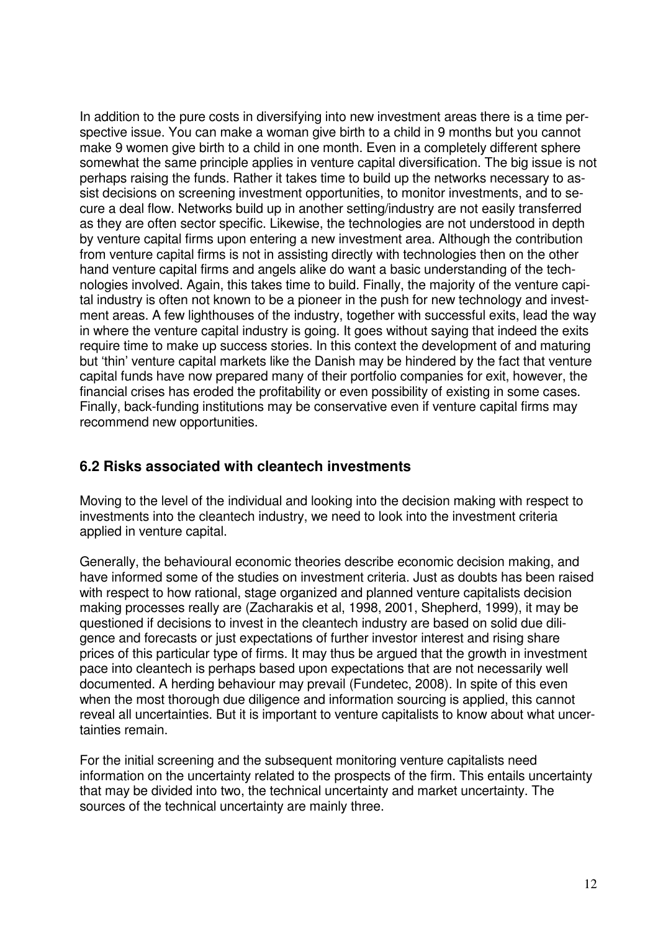In addition to the pure costs in diversifying into new investment areas there is a time perspective issue. You can make a woman give birth to a child in 9 months but you cannot make 9 women give birth to a child in one month. Even in a completely different sphere somewhat the same principle applies in venture capital diversification. The big issue is not perhaps raising the funds. Rather it takes time to build up the networks necessary to assist decisions on screening investment opportunities, to monitor investments, and to secure a deal flow. Networks build up in another setting/industry are not easily transferred as they are often sector specific. Likewise, the technologies are not understood in depth by venture capital firms upon entering a new investment area. Although the contribution from venture capital firms is not in assisting directly with technologies then on the other hand venture capital firms and angels alike do want a basic understanding of the technologies involved. Again, this takes time to build. Finally, the majority of the venture capital industry is often not known to be a pioneer in the push for new technology and investment areas. A few lighthouses of the industry, together with successful exits, lead the way in where the venture capital industry is going. It goes without saying that indeed the exits require time to make up success stories. In this context the development of and maturing but 'thin' venture capital markets like the Danish may be hindered by the fact that venture capital funds have now prepared many of their portfolio companies for exit, however, the financial crises has eroded the profitability or even possibility of existing in some cases. Finally, back-funding institutions may be conservative even if venture capital firms may recommend new opportunities.

#### **6.2 Risks associated with cleantech investments**

Moving to the level of the individual and looking into the decision making with respect to investments into the cleantech industry, we need to look into the investment criteria applied in venture capital.

Generally, the behavioural economic theories describe economic decision making, and have informed some of the studies on investment criteria. Just as doubts has been raised with respect to how rational, stage organized and planned venture capitalists decision making processes really are (Zacharakis et al, 1998, 2001, Shepherd, 1999), it may be questioned if decisions to invest in the cleantech industry are based on solid due diligence and forecasts or just expectations of further investor interest and rising share prices of this particular type of firms. It may thus be argued that the growth in investment pace into cleantech is perhaps based upon expectations that are not necessarily well documented. A herding behaviour may prevail (Fundetec, 2008). In spite of this even when the most thorough due diligence and information sourcing is applied, this cannot reveal all uncertainties. But it is important to venture capitalists to know about what uncertainties remain.

For the initial screening and the subsequent monitoring venture capitalists need information on the uncertainty related to the prospects of the firm. This entails uncertainty that may be divided into two, the technical uncertainty and market uncertainty. The sources of the technical uncertainty are mainly three.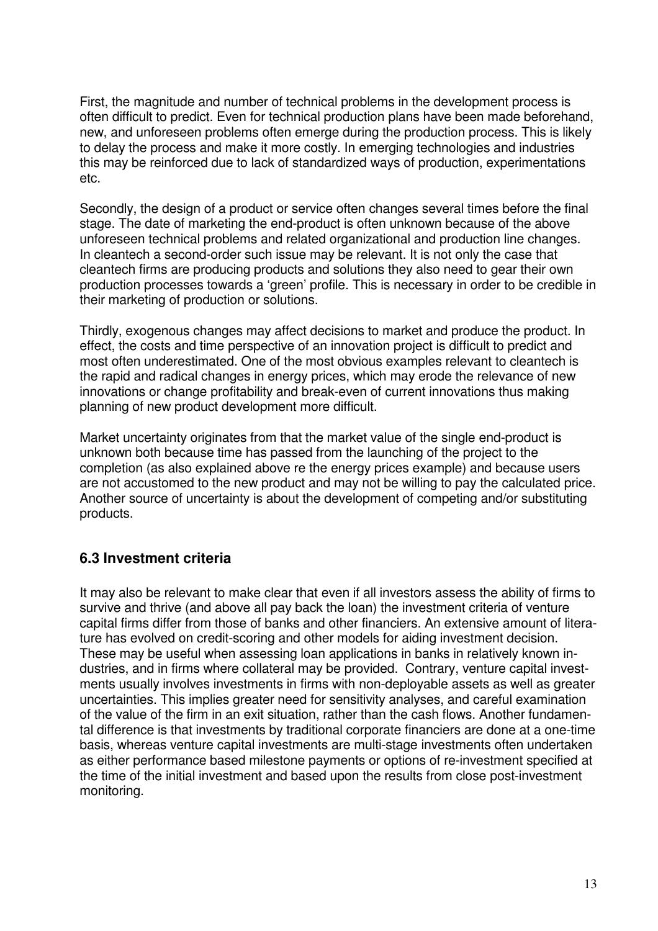First, the magnitude and number of technical problems in the development process is often difficult to predict. Even for technical production plans have been made beforehand, new, and unforeseen problems often emerge during the production process. This is likely to delay the process and make it more costly. In emerging technologies and industries this may be reinforced due to lack of standardized ways of production, experimentations etc.

Secondly, the design of a product or service often changes several times before the final stage. The date of marketing the end-product is often unknown because of the above unforeseen technical problems and related organizational and production line changes. In cleantech a second-order such issue may be relevant. It is not only the case that cleantech firms are producing products and solutions they also need to gear their own production processes towards a 'green' profile. This is necessary in order to be credible in their marketing of production or solutions.

Thirdly, exogenous changes may affect decisions to market and produce the product. In effect, the costs and time perspective of an innovation project is difficult to predict and most often underestimated. One of the most obvious examples relevant to cleantech is the rapid and radical changes in energy prices, which may erode the relevance of new innovations or change profitability and break-even of current innovations thus making planning of new product development more difficult.

Market uncertainty originates from that the market value of the single end-product is unknown both because time has passed from the launching of the project to the completion (as also explained above re the energy prices example) and because users are not accustomed to the new product and may not be willing to pay the calculated price. Another source of uncertainty is about the development of competing and/or substituting products.

#### **6.3 Investment criteria**

It may also be relevant to make clear that even if all investors assess the ability of firms to survive and thrive (and above all pay back the loan) the investment criteria of venture capital firms differ from those of banks and other financiers. An extensive amount of literature has evolved on credit-scoring and other models for aiding investment decision. These may be useful when assessing loan applications in banks in relatively known industries, and in firms where collateral may be provided. Contrary, venture capital investments usually involves investments in firms with non-deployable assets as well as greater uncertainties. This implies greater need for sensitivity analyses, and careful examination of the value of the firm in an exit situation, rather than the cash flows. Another fundamental difference is that investments by traditional corporate financiers are done at a one-time basis, whereas venture capital investments are multi-stage investments often undertaken as either performance based milestone payments or options of re-investment specified at the time of the initial investment and based upon the results from close post-investment monitoring.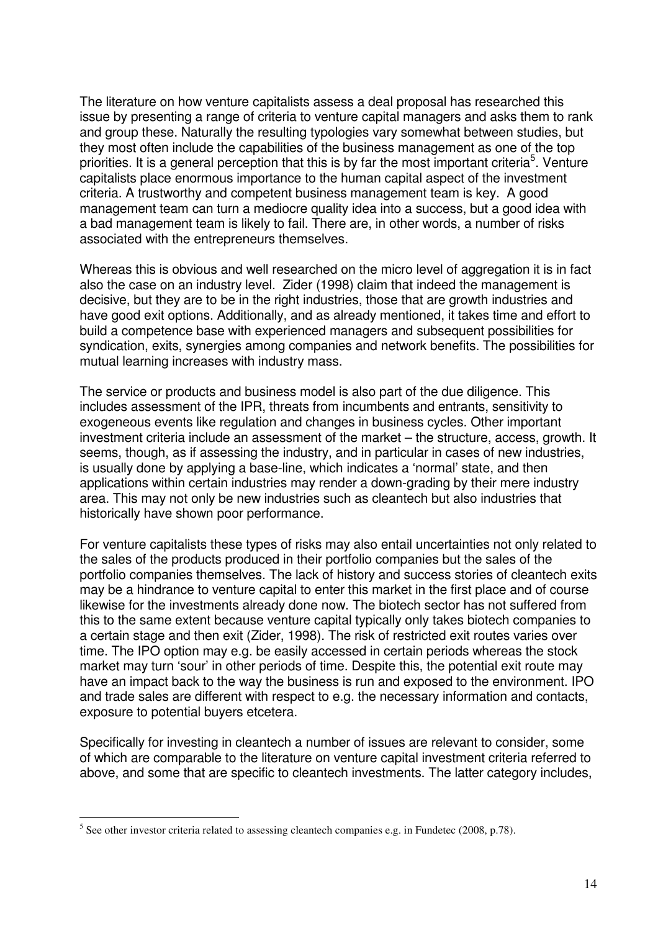The literature on how venture capitalists assess a deal proposal has researched this issue by presenting a range of criteria to venture capital managers and asks them to rank and group these. Naturally the resulting typologies vary somewhat between studies, but they most often include the capabilities of the business management as one of the top priorities. It is a general perception that this is by far the most important criteria<sup>5</sup>. Venture capitalists place enormous importance to the human capital aspect of the investment criteria. A trustworthy and competent business management team is key. A good management team can turn a mediocre quality idea into a success, but a good idea with a bad management team is likely to fail. There are, in other words, a number of risks associated with the entrepreneurs themselves.

Whereas this is obvious and well researched on the micro level of aggregation it is in fact also the case on an industry level. Zider (1998) claim that indeed the management is decisive, but they are to be in the right industries, those that are growth industries and have good exit options. Additionally, and as already mentioned, it takes time and effort to build a competence base with experienced managers and subsequent possibilities for syndication, exits, synergies among companies and network benefits. The possibilities for mutual learning increases with industry mass.

The service or products and business model is also part of the due diligence. This includes assessment of the IPR, threats from incumbents and entrants, sensitivity to exogeneous events like regulation and changes in business cycles. Other important investment criteria include an assessment of the market – the structure, access, growth. It seems, though, as if assessing the industry, and in particular in cases of new industries, is usually done by applying a base-line, which indicates a 'normal' state, and then applications within certain industries may render a down-grading by their mere industry area. This may not only be new industries such as cleantech but also industries that historically have shown poor performance.

For venture capitalists these types of risks may also entail uncertainties not only related to the sales of the products produced in their portfolio companies but the sales of the portfolio companies themselves. The lack of history and success stories of cleantech exits may be a hindrance to venture capital to enter this market in the first place and of course likewise for the investments already done now. The biotech sector has not suffered from this to the same extent because venture capital typically only takes biotech companies to a certain stage and then exit (Zider, 1998). The risk of restricted exit routes varies over time. The IPO option may e.g. be easily accessed in certain periods whereas the stock market may turn 'sour' in other periods of time. Despite this, the potential exit route may have an impact back to the way the business is run and exposed to the environment. IPO and trade sales are different with respect to e.g. the necessary information and contacts, exposure to potential buyers etcetera.

Specifically for investing in cleantech a number of issues are relevant to consider, some of which are comparable to the literature on venture capital investment criteria referred to above, and some that are specific to cleantech investments. The latter category includes,

 $\overline{a}$ 

 $<sup>5</sup>$  See other investor criteria related to assessing cleantech companies e.g. in Fundetec (2008, p.78).</sup>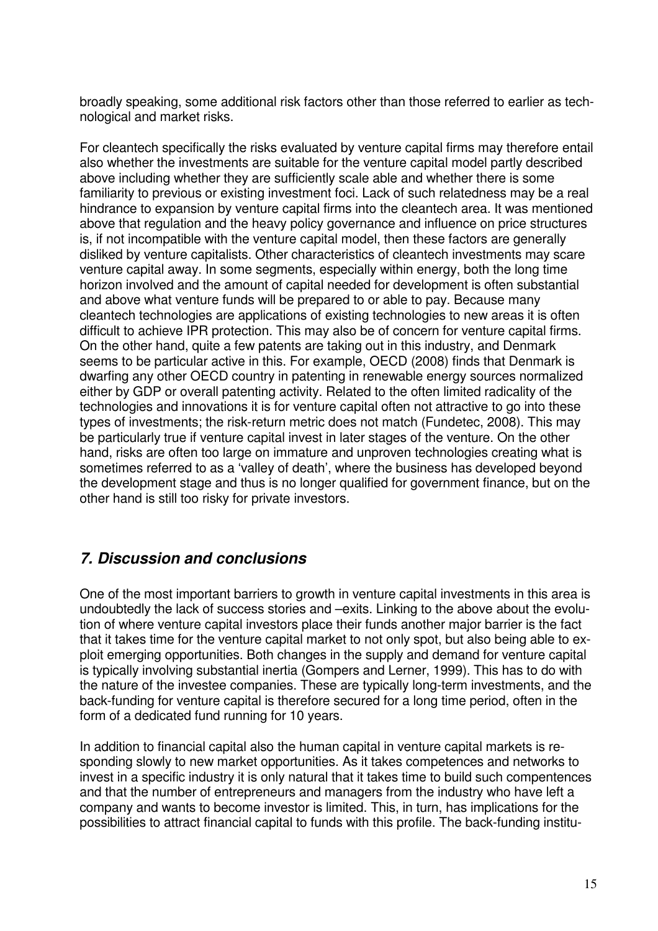broadly speaking, some additional risk factors other than those referred to earlier as technological and market risks.

For cleantech specifically the risks evaluated by venture capital firms may therefore entail also whether the investments are suitable for the venture capital model partly described above including whether they are sufficiently scale able and whether there is some familiarity to previous or existing investment foci. Lack of such relatedness may be a real hindrance to expansion by venture capital firms into the cleantech area. It was mentioned above that regulation and the heavy policy governance and influence on price structures is, if not incompatible with the venture capital model, then these factors are generally disliked by venture capitalists. Other characteristics of cleantech investments may scare venture capital away. In some segments, especially within energy, both the long time horizon involved and the amount of capital needed for development is often substantial and above what venture funds will be prepared to or able to pay. Because many cleantech technologies are applications of existing technologies to new areas it is often difficult to achieve IPR protection. This may also be of concern for venture capital firms. On the other hand, quite a few patents are taking out in this industry, and Denmark seems to be particular active in this. For example, OECD (2008) finds that Denmark is dwarfing any other OECD country in patenting in renewable energy sources normalized either by GDP or overall patenting activity. Related to the often limited radicality of the technologies and innovations it is for venture capital often not attractive to go into these types of investments; the risk-return metric does not match (Fundetec, 2008). This may be particularly true if venture capital invest in later stages of the venture. On the other hand, risks are often too large on immature and unproven technologies creating what is sometimes referred to as a 'valley of death', where the business has developed beyond the development stage and thus is no longer qualified for government finance, but on the other hand is still too risky for private investors.

## *7. Discussion and conclusions*

One of the most important barriers to growth in venture capital investments in this area is undoubtedly the lack of success stories and –exits. Linking to the above about the evolution of where venture capital investors place their funds another major barrier is the fact that it takes time for the venture capital market to not only spot, but also being able to exploit emerging opportunities. Both changes in the supply and demand for venture capital is typically involving substantial inertia (Gompers and Lerner, 1999). This has to do with the nature of the investee companies. These are typically long-term investments, and the back-funding for venture capital is therefore secured for a long time period, often in the form of a dedicated fund running for 10 years.

In addition to financial capital also the human capital in venture capital markets is responding slowly to new market opportunities. As it takes competences and networks to invest in a specific industry it is only natural that it takes time to build such compentences and that the number of entrepreneurs and managers from the industry who have left a company and wants to become investor is limited. This, in turn, has implications for the possibilities to attract financial capital to funds with this profile. The back-funding institu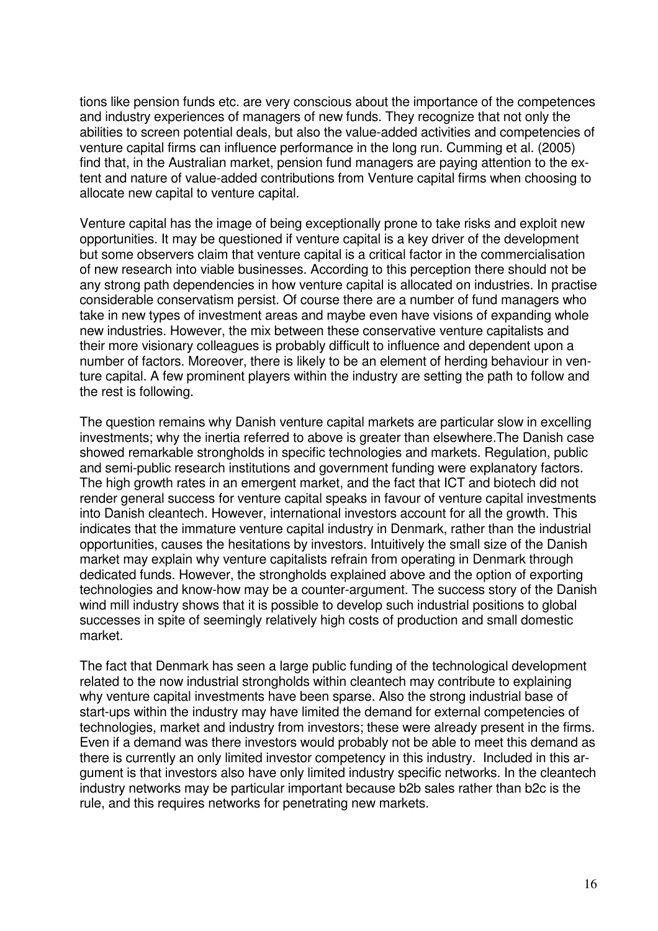tions like pension funds etc. are very conscious about the importance of the competences and industry experiences of managers of new funds. They recognize that not only the abilities to screen potential deals, but also the value-added activities and competencies of venture capital firms can influence performance in the long run. Cumming et al. (2005) find that, in the Australian market, pension fund managers are paying attention to the extent and nature of value-added contributions from Venture capital firms when choosing to allocate new capital to venture capital.

Venture capital has the image of being exceptionally prone to take risks and exploit new opportunities. It may be questioned if venture capital is a key driver of the development but some observers claim that venture capital is a critical factor in the commercialisation of new research into viable businesses. According to this perception there should not be any strong path dependencies in how venture capital is allocated on industries. In practise considerable conservatism persist. Of course there are a number of fund managers who take in new types of investment areas and maybe even have visions of expanding whole new industries. However, the mix between these conservative venture capitalists and their more visionary colleagues is probably difficult to influence and dependent upon a number of factors. Moreover, there is likely to be an element of herding behaviour in venture capital. A few prominent players within the industry are setting the path to follow and the rest is following.

The question remains why Danish venture capital markets are particular slow in excelling investments; why the inertia referred to above is greater than elsewhere.The Danish case showed remarkable strongholds in specific technologies and markets. Regulation, public and semi-public research institutions and government funding were explanatory factors. The high growth rates in an emergent market, and the fact that ICT and biotech did not render general success for venture capital speaks in favour of venture capital investments into Danish cleantech. However, international investors account for all the growth. This indicates that the immature venture capital industry in Denmark, rather than the industrial opportunities, causes the hesitations by investors. Intuitively the small size of the Danish market may explain why venture capitalists refrain from operating in Denmark through dedicated funds. However, the strongholds explained above and the option of exporting technologies and know-how may be a counter-argument. The success story of the Danish wind mill industry shows that it is possible to develop such industrial positions to global successes in spite of seemingly relatively high costs of production and small domestic market.

The fact that Denmark has seen a large public funding of the technological development related to the now industrial strongholds within cleantech may contribute to explaining why venture capital investments have been sparse. Also the strong industrial base of start-ups within the industry may have limited the demand for external competencies of technologies, market and industry from investors; these were already present in the firms. Even if a demand was there investors would probably not be able to meet this demand as there is currently an only limited investor competency in this industry. Included in this argument is that investors also have only limited industry specific networks. In the cleantech industry networks may be particular important because b2b sales rather than b2c is the rule, and this requires networks for penetrating new markets.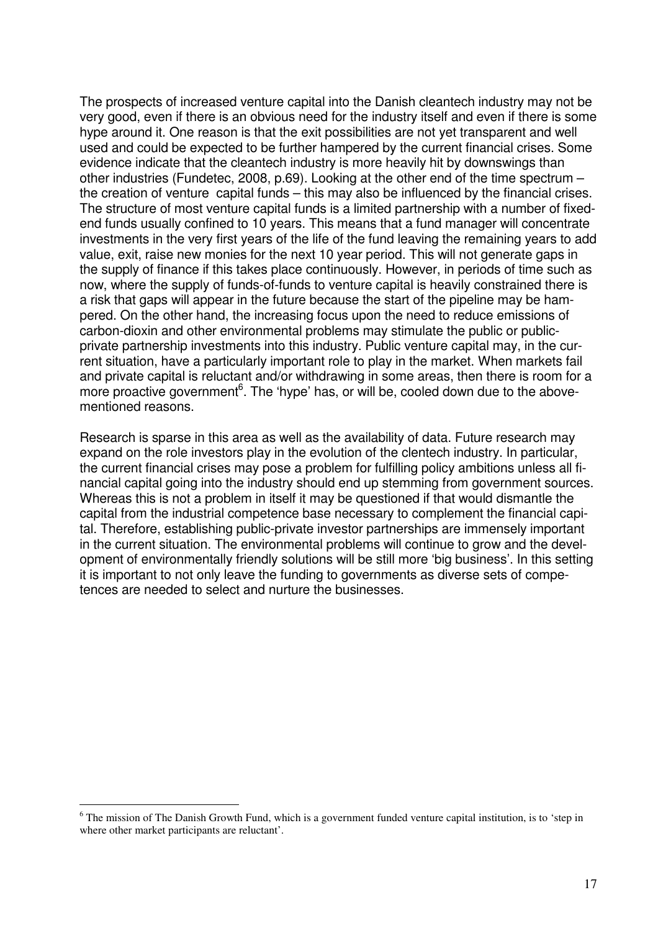The prospects of increased venture capital into the Danish cleantech industry may not be very good, even if there is an obvious need for the industry itself and even if there is some hype around it. One reason is that the exit possibilities are not yet transparent and well used and could be expected to be further hampered by the current financial crises. Some evidence indicate that the cleantech industry is more heavily hit by downswings than other industries (Fundetec, 2008, p.69). Looking at the other end of the time spectrum – the creation of venture capital funds – this may also be influenced by the financial crises. The structure of most venture capital funds is a limited partnership with a number of fixedend funds usually confined to 10 years. This means that a fund manager will concentrate investments in the very first years of the life of the fund leaving the remaining years to add value, exit, raise new monies for the next 10 year period. This will not generate gaps in the supply of finance if this takes place continuously. However, in periods of time such as now, where the supply of funds-of-funds to venture capital is heavily constrained there is a risk that gaps will appear in the future because the start of the pipeline may be hampered. On the other hand, the increasing focus upon the need to reduce emissions of carbon-dioxin and other environmental problems may stimulate the public or publicprivate partnership investments into this industry. Public venture capital may, in the current situation, have a particularly important role to play in the market. When markets fail and private capital is reluctant and/or withdrawing in some areas, then there is room for a more proactive government<sup>6</sup>. The 'hype' has, or will be, cooled down due to the abovementioned reasons.

Research is sparse in this area as well as the availability of data. Future research may expand on the role investors play in the evolution of the clentech industry. In particular, the current financial crises may pose a problem for fulfilling policy ambitions unless all financial capital going into the industry should end up stemming from government sources. Whereas this is not a problem in itself it may be questioned if that would dismantle the capital from the industrial competence base necessary to complement the financial capital. Therefore, establishing public-private investor partnerships are immensely important in the current situation. The environmental problems will continue to grow and the development of environmentally friendly solutions will be still more 'big business'. In this setting it is important to not only leave the funding to governments as diverse sets of competences are needed to select and nurture the businesses.

 $\overline{a}$ 

<sup>&</sup>lt;sup>6</sup> The mission of The Danish Growth Fund, which is a government funded venture capital institution, is to 'step in where other market participants are reluctant'.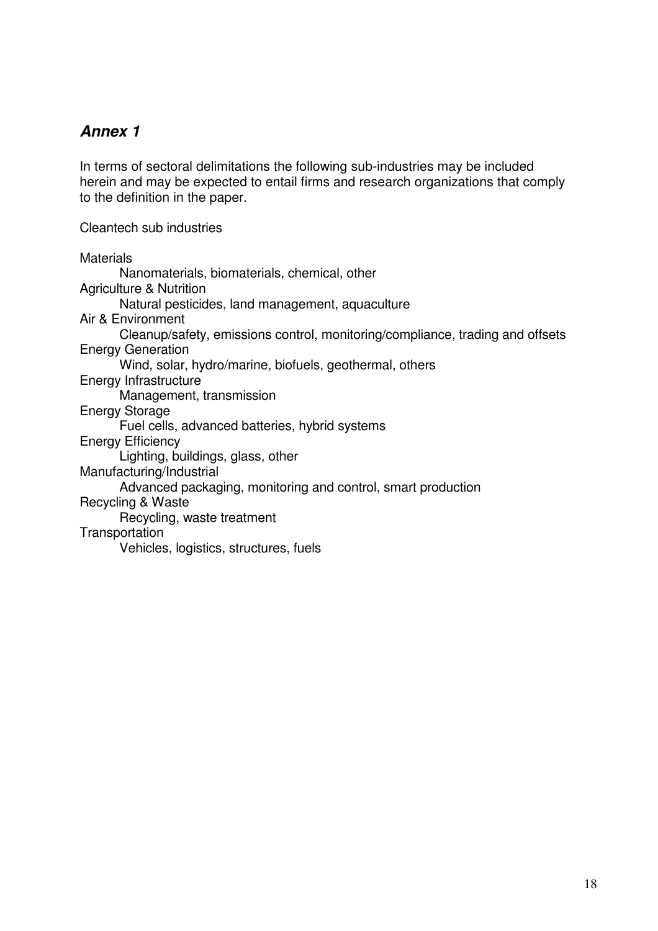# *Annex 1*

In terms of sectoral delimitations the following sub-industries may be included herein and may be expected to entail firms and research organizations that comply to the definition in the paper.

Cleantech sub industries

**Materials** Nanomaterials, biomaterials, chemical, other Agriculture & Nutrition Natural pesticides, land management, aquaculture Air & Environment Cleanup/safety, emissions control, monitoring/compliance, trading and offsets Energy Generation Wind, solar, hydro/marine, biofuels, geothermal, others Energy Infrastructure Management, transmission Energy Storage Fuel cells, advanced batteries, hybrid systems Energy Efficiency Lighting, buildings, glass, other Manufacturing/Industrial Advanced packaging, monitoring and control, smart production Recycling & Waste Recycling, waste treatment **Transportation** Vehicles, logistics, structures, fuels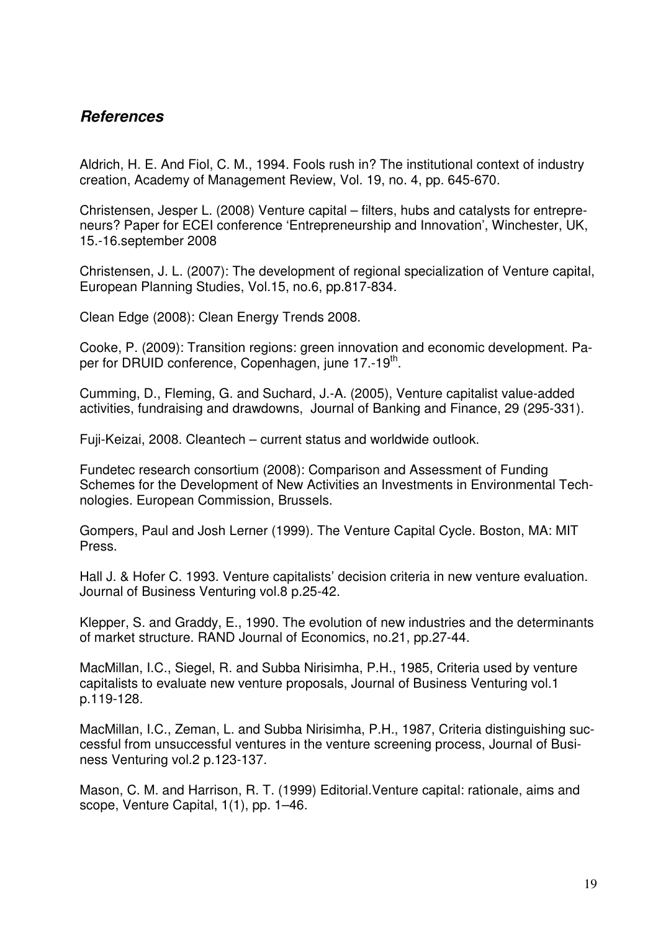#### *References*

Aldrich, H. E. And Fiol, C. M., 1994. Fools rush in? The institutional context of industry creation, Academy of Management Review, Vol. 19, no. 4, pp. 645-670.

Christensen, Jesper L. (2008) Venture capital – filters, hubs and catalysts for entrepreneurs? Paper for ECEI conference 'Entrepreneurship and Innovation', Winchester, UK, 15.-16.september 2008

Christensen, J. L. (2007): The development of regional specialization of Venture capital, European Planning Studies, Vol.15, no.6, pp.817-834.

Clean Edge (2008): Clean Energy Trends 2008.

Cooke, P. (2009): Transition regions: green innovation and economic development. Paper for DRUID conference, Copenhagen, june 17.-19<sup>th</sup>.

Cumming, D., Fleming, G. and Suchard, J.-A. (2005), Venture capitalist value-added activities, fundraising and drawdowns, Journal of Banking and Finance, 29 (295-331).

Fuji-Keizai, 2008. Cleantech – current status and worldwide outlook.

Fundetec research consortium (2008): Comparison and Assessment of Funding Schemes for the Development of New Activities an Investments in Environmental Technologies. European Commission, Brussels.

Gompers, Paul and Josh Lerner (1999). The Venture Capital Cycle. Boston, MA: MIT Press.

Hall J. & Hofer C. 1993. Venture capitalists' decision criteria in new venture evaluation. Journal of Business Venturing vol.8 p.25-42.

Klepper, S. and Graddy, E., 1990. The evolution of new industries and the determinants of market structure. RAND Journal of Economics, no.21, pp.27-44.

MacMillan, I.C., Siegel, R. and Subba Nirisimha, P.H., 1985, Criteria used by venture capitalists to evaluate new venture proposals, Journal of Business Venturing vol.1 p.119-128.

MacMillan, I.C., Zeman, L. and Subba Nirisimha, P.H., 1987, Criteria distinguishing successful from unsuccessful ventures in the venture screening process, Journal of Business Venturing vol.2 p.123-137.

Mason, C. M. and Harrison, R. T. (1999) Editorial.Venture capital: rationale, aims and scope, Venture Capital, 1(1), pp. 1–46.